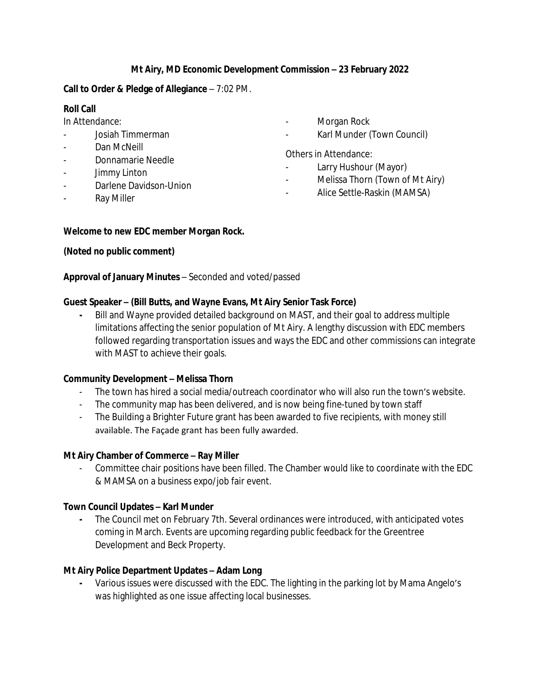# **Mt Airy, MD Economic Development Commission – 23 February 2022**

## **Call to Order & Pledge of Allegiance** – 7:02 PM.

# **Roll Call**

In Attendance:

- Josiah Timmerman
- Dan McNeill
- Donnamarie Needle
- Jimmy Linton
- Darlene Davidson-Union
- **Ray Miller**
- Morgan Rock
- Karl Munder (Town Council)

Others in Attendance:

- Larry Hushour (Mayor)
- Melissa Thorn (Town of Mt Airy)
- Alice Settle-Raskin (MAMSA)

#### **Welcome to new EDC member Morgan Rock.**

# **(Noted no public comment)**

**Approval of January Minutes** – Seconded and voted/passed

# **Guest Speaker – (Bill Butts, and Wayne Evans, Mt Airy Senior Task Force)**

**-** Bill and Wayne provided detailed background on MAST, and their goal to address multiple limitations affecting the senior population of Mt Airy. A lengthy discussion with EDC members followed regarding transportation issues and ways the EDC and other commissions can integrate with MAST to achieve their goals.

#### **Community Development – Melissa Thorn**

- The town has hired a social media/outreach coordinator who will also run the town's website.
- The community map has been delivered, and is now being fine-tuned by town staff
- The Building a Brighter Future grant has been awarded to five recipients, with money still available. The Façade grant has been fully awarded.

#### **Mt Airy Chamber of Commerce – Ray Miller**

- Committee chair positions have been filled. The Chamber would like to coordinate with the EDC & MAMSA on a business expo/job fair event.

#### **Town Council Updates – Karl Munder**

**-** The Council met on February 7th. Several ordinances were introduced, with anticipated votes coming in March. Events are upcoming regarding public feedback for the Greentree Development and Beck Property.

# **Mt Airy Police Department Updates – Adam Long**

**-** Various issues were discussed with the EDC. The lighting in the parking lot by Mama Angelo's was highlighted as one issue affecting local businesses.